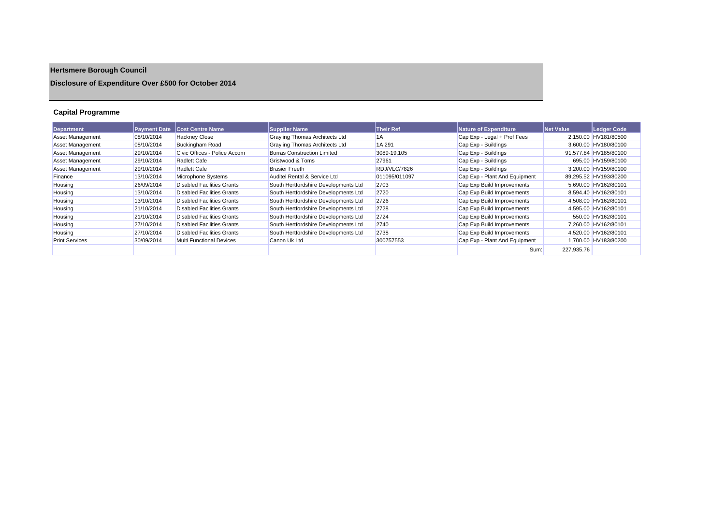# **Hertsmere Borough Council**

## **Disclosure of Expenditure Over £500 for October 2014**

## **Capital Programme**

| Department              | <b>Payment Date</b> | <b>Cost Centre Name</b>           | <b>Supplier Name</b>                 | <b>Their Ref</b> | Nature of Expenditure         | Net Value  | Ledger Code           |
|-------------------------|---------------------|-----------------------------------|--------------------------------------|------------------|-------------------------------|------------|-----------------------|
| Asset Management        | 08/10/2014          | <b>Hackney Close</b>              | Grayling Thomas Architects Ltd       | 1A               | Cap Exp - Legal + Prof Fees   |            | 2,150.00 HV181/80500  |
| <b>Asset Management</b> | 08/10/2014          | <b>Buckingham Road</b>            | Grayling Thomas Architects Ltd       | 1A 291           | Cap Exp - Buildings           |            | 3,600.00 HV180/80100  |
| <b>Asset Management</b> | 29/10/2014          | Civic Offices - Police Accom      | <b>Borras Construction Limited</b>   | 3089-19.105      | Cap Exp - Buildings           |            | 91.577.84 HV185/80100 |
| <b>Asset Management</b> | 29/10/2014          | <b>Radlett Cafe</b>               | Gristwood & Toms                     | 27961            | Cap Exp - Buildings           |            | 695.00 HV159/80100    |
| <b>Asset Management</b> | 29/10/2014          | <b>Radlett Cafe</b>               | <b>Brasier Freeth</b>                | RDJ/VLC/7826     | Cap Exp - Buildings           |            | 3.200.00 HV159/80100  |
| Finance                 | 13/10/2014          | Microphone Systems                | Auditel Rental & Service Ltd         | 011095/011097    | Cap Exp - Plant And Equipment |            | 89.295.52 HV193/80200 |
| Housing                 | 26/09/2014          | <b>Disabled Facilities Grants</b> | South Hertfordshire Developments Ltd | 2703             | Cap Exp Build Improvements    |            | 5.690.00 HV162/80101  |
| Housing                 | 13/10/2014          | <b>Disabled Facilities Grants</b> | South Hertfordshire Developments Ltd | 2720             | Cap Exp Build Improvements    |            | 8,594.40 HV162/80101  |
| Housing                 | 13/10/2014          | <b>Disabled Facilities Grants</b> | South Hertfordshire Developments Ltd | 2726             | Cap Exp Build Improvements    |            | 4.508.00 HV162/80101  |
| Housing                 | 21/10/2014          | <b>Disabled Facilities Grants</b> | South Hertfordshire Developments Ltd | 2728             | Cap Exp Build Improvements    |            | 4,595.00 HV162/80101  |
| Housing                 | 21/10/2014          | <b>Disabled Facilities Grants</b> | South Hertfordshire Developments Ltd | 2724             | Cap Exp Build Improvements    |            | 550.00 HV162/80101    |
| Housing                 | 27/10/2014          | <b>Disabled Facilities Grants</b> | South Hertfordshire Developments Ltd | 2740             | Cap Exp Build Improvements    |            | 7.260.00 HV162/80101  |
| Housing                 | 27/10/2014          | <b>Disabled Facilities Grants</b> | South Hertfordshire Developments Ltd | 2738             | Cap Exp Build Improvements    |            | 4,520.00 HV162/80101  |
| <b>Print Services</b>   | 30/09/2014          | <b>Multi Functional Devices</b>   | Canon Uk Ltd                         | 300757553        | Cap Exp - Plant And Equipment |            | 1.700.00 HV183/80200  |
|                         |                     |                                   |                                      |                  | Sum:                          | 227.935.76 |                       |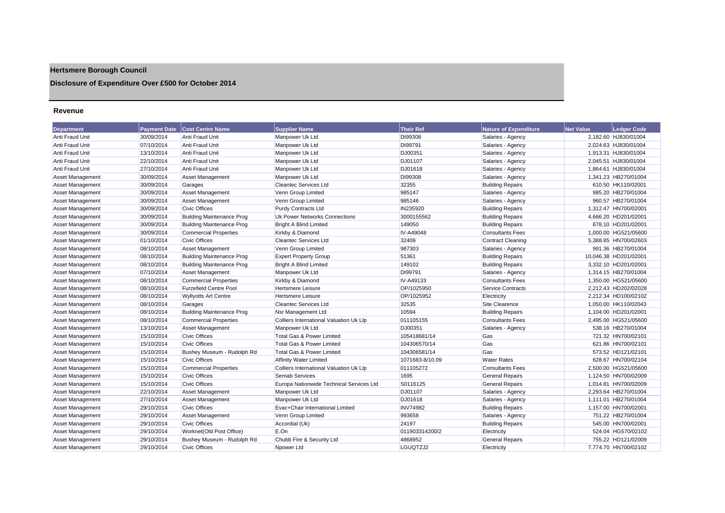## **Hertsmere Borough Council**

## **Disclosure of Expenditure Over £500 for October 2014**

#### **Revenue**

| <b>Department</b>       | <b>Payment Date</b> | <b>Cost Centre Name</b>          | <b>Supplier Name</b>                     | <b>Their Ref</b> | <b>Nature of Expenditure</b> | <b>Net Value</b> | <b>Ledger Code</b>    |
|-------------------------|---------------------|----------------------------------|------------------------------------------|------------------|------------------------------|------------------|-----------------------|
| Anti Fraud Unit         | 30/09/2014          | Anti Fraud Unit                  | Manpower Uk Ltd                          | DI99308          | Salaries - Agency            |                  | 2,182.60 HJ830/01004  |
| <b>Anti Fraud Unit</b>  | 07/10/2014          | Anti Fraud Unit                  | Manpower Uk Ltd                          | DI99791          | Salaries - Agency            |                  | 2,024.63 HJ830/01004  |
| Anti Fraud Unit         | 13/10/2014          | Anti Fraud Unit                  | Manpower Uk Ltd                          | DJ00351          | Salaries - Agency            |                  | 1,913.31 HJ830/01004  |
| Anti Fraud Unit         | 22/10/2014          | Anti Fraud Unit                  | Manpower Uk Ltd                          | DJ01107          | Salaries - Agency            |                  | 2,045.51 HJ830/01004  |
| Anti Fraud Unit         | 27/10/2014          | Anti Fraud Unit                  | Manpower Uk Ltd                          | DJ01618          | Salaries - Agency            |                  | 1.864.61 HJ830/01004  |
| Asset Management        | 30/09/2014          | Asset Management                 | Manpower Uk Ltd                          | DI99308          | Salaries - Agency            |                  | 1,341.23 HB270/01004  |
| <b>Asset Management</b> | 30/09/2014          | Garages                          | Cleantec Services Ltd                    | 32355            | <b>Building Repairs</b>      |                  | 610.50 HK110/02001    |
| Asset Management        | 30/09/2014          | Asset Management                 | Venn Group Limited                       | 985147           | Salaries - Agency            |                  | 985.20 HB270/01004    |
| Asset Management        | 30/09/2014          | Asset Management                 | Venn Group Limited                       | 985146           | Salaries - Agency            |                  | 960.57 HB270/01004    |
| Asset Management        | 30/09/2014          | <b>Civic Offices</b>             | <b>Purdy Contracts Ltd</b>               | IN235920         | <b>Building Repairs</b>      |                  | 1,312.47 HN700/02001  |
| Asset Management        | 30/09/2014          | <b>Building Maintenance Prog</b> | Uk Power Networks Connections            | 3000155562       | <b>Building Repairs</b>      |                  | 4,666.20 HD201/02001  |
| <b>Asset Management</b> | 30/09/2014          | <b>Building Maintenance Prog</b> | <b>Bright A Blind Limited</b>            | 149050           | <b>Building Repairs</b>      |                  | 878.10 HD201/02001    |
| <b>Asset Management</b> | 30/09/2014          | <b>Commercial Properties</b>     | Kirkby & Diamond                         | IV-A49048        | <b>Consultants Fees</b>      |                  | 1.000.00 HG521/05600  |
| <b>Asset Management</b> | 01/10/2014          | <b>Civic Offices</b>             | <b>Cleantec Services Ltd</b>             | 32409            | <b>Contract Cleaning</b>     |                  | 5,388.85 HN700/02603  |
| Asset Management        | 08/10/2014          | <b>Asset Management</b>          | Venn Group Limited                       | 987303           | Salaries - Agency            |                  | 991.36 HB270/01004    |
| Asset Management        | 08/10/2014          | <b>Building Maintenance Prog</b> | <b>Expert Property Group</b>             | 51361            | <b>Building Repairs</b>      |                  | 10.046.38 HD201/02001 |
| <b>Asset Management</b> | 08/10/2014          | <b>Building Maintenance Prog</b> | <b>Bright A Blind Limited</b>            | 149102           | <b>Building Repairs</b>      |                  | 3.332.10 HD201/02001  |
| <b>Asset Management</b> | 07/10/2014          | <b>Asset Management</b>          | Manpower Uk Ltd                          | DI99791          | Salaries - Agency            |                  | 1,314.15 HB270/01004  |
| Asset Management        | 08/10/2014          | <b>Commercial Properties</b>     | Kirkby & Diamond                         | IV-A49133        | <b>Consultants Fees</b>      |                  | 1,350.00 HG521/05600  |
| Asset Management        | 08/10/2014          | <b>Furzefield Centre Pool</b>    | <b>Hertsmere Leisure</b>                 | OP/1025950       | <b>Service Contracts</b>     |                  | 2.212.43 HD202/02028  |
| <b>Asset Management</b> | 08/10/2014          | <b>Wyllyotts Art Centre</b>      | <b>Hertsmere Leisure</b>                 | OP/1025952       | Electricity                  |                  | 2,212.34 HD100/02102  |
| <b>Asset Management</b> | 08/10/2014          | Garages                          | Cleantec Services Ltd                    | 32535            | Site Clearence               |                  | 1,050.00 HK110/02043  |
| Asset Management        | 08/10/2014          | <b>Building Maintenance Prog</b> | Nsr Management Ltd                       | 10594            | <b>Building Repairs</b>      |                  | 1,104.00 HD201/02001  |
| Asset Management        | 08/10/2014          | <b>Commercial Properties</b>     | Colliers International Valuation Uk Llp  | 011105155        | <b>Consultants Fees</b>      |                  | 2,495.00 HG521/05600  |
| <b>Asset Management</b> | 13/10/2014          | Asset Management                 | Manpower Uk Ltd                          | DJ00351          | Salaries - Agency            |                  | 538.16 HB270/01004    |
| Asset Management        | 15/10/2014          | <b>Civic Offices</b>             | Total Gas & Power Limited                | 105418681/14     | Gas                          |                  | 721.32 HN700/02101    |
| <b>Asset Management</b> | 15/10/2014          | <b>Civic Offices</b>             | Total Gas & Power Limited                | 104306570/14     | Gas                          |                  | 621.86 HN700/02101    |
| <b>Asset Management</b> | 15/10/2014          | Bushey Museum - Rudolph Rd       | Total Gas & Power Limited                | 104306581/14     | Gas                          |                  | 573.52 HD121/02101    |
| Asset Management        | 15/10/2014          | <b>Civic Offices</b>             | <b>Affinity Water Limited</b>            | 1071683-8/10.09  | <b>Water Rates</b>           |                  | 628.67 HN700/02104    |
| Asset Management        | 15/10/2014          | <b>Commercial Properties</b>     | Colliers International Valuation Uk Llp  | 011105272        | <b>Consultants Fees</b>      |                  | 2,500.00 HG521/05600  |
| Asset Management        | 15/10/2014          | <b>Civic Offices</b>             | <b>Semab Services</b>                    | 1695             | <b>General Repairs</b>       |                  | 1,124.50 HN700/02009  |
| <b>Asset Management</b> | 15/10/2014          | <b>Civic Offices</b>             | Europa Nationwide Technical Services Ltd | S0116125         | <b>General Repairs</b>       |                  | 1,014.81 HN700/02009  |
| <b>Asset Management</b> | 22/10/2014          | Asset Management                 | Manpower Uk Ltd                          | DJ01107          | Salaries - Agency            |                  | 2,293.64 HB270/01004  |
| Asset Management        | 27/10/2014          | Asset Management                 | Manpower Uk Ltd                          | DJ01618          | Salaries - Agency            |                  | 1,111.01 HB270/01004  |
| <b>Asset Management</b> | 29/10/2014          | <b>Civic Offices</b>             | Evac+Chair International Limited         | <b>INV74982</b>  | <b>Building Repairs</b>      |                  | 1,157.00 HN700/02001  |
| <b>Asset Management</b> | 29/10/2014          | <b>Asset Management</b>          | Venn Group Limited                       | 993658           | Salaries - Agency            |                  | 751.22 HB270/01004    |
| Asset Management        | 29/10/2014          | <b>Civic Offices</b>             | Accordial (Uk)                           | 24197            | <b>Building Repairs</b>      |                  | 545.00 HN700/02001    |
| <b>Asset Management</b> | 29/10/2014          | Worknet(Old Post Office)         | E.On                                     | 011903314200/2   | Electricity                  |                  | 524.04 HG570/02102    |
| Asset Management        | 29/10/2014          | Bushey Museum - Rudolph Rd       | Chubb Fire & Security Ltd                | 4868952          | <b>General Repairs</b>       |                  | 755.22 HD121/02009    |
| Asset Management        | 29/10/2014          | Civic Offices                    | Noower Ltd                               | LGUOTZJ2         | Electricity                  |                  | 7.774.70 HN700/02102  |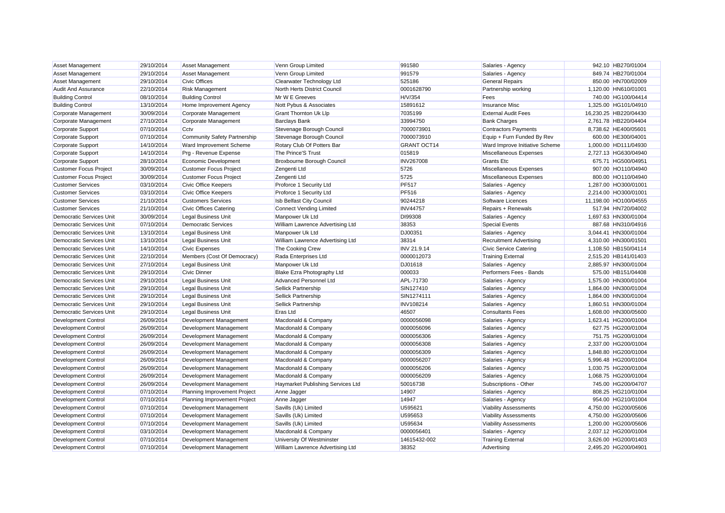| Asset Management                | 29/10/2014 | <b>Asset Management</b>             | Venn Group Limited                | 991580             | Salaries - Agency              | 942.10 HB270/01004    |
|---------------------------------|------------|-------------------------------------|-----------------------------------|--------------------|--------------------------------|-----------------------|
| Asset Management                | 29/10/2014 | <b>Asset Management</b>             | Venn Group Limited                | 991579             | Salaries - Agency              | 849.74 HB270/01004    |
| Asset Management                | 29/10/2014 | <b>Civic Offices</b>                | Clearwater Technology Ltd         | 525186             | <b>General Repairs</b>         | 850.00 HN700/02009    |
| <b>Audit And Assurance</b>      | 22/10/2014 | <b>Risk Management</b>              | North Herts District Council      | 0001628790         | Partnership working            | 1,120.00 HN610/01001  |
| <b>Building Control</b>         | 08/10/2014 | <b>Building Control</b>             | Mr W E Greeves                    | H/V/354            | Fees                           | 740.00 HG100/04414    |
| <b>Building Control</b>         | 13/10/2014 | Home Improvement Agency             | Nott Pybus & Associates           | 15891612           | <b>Insurance Misc</b>          | 1.325.00 HG101/04910  |
| Corporate Management            | 30/09/2014 | Corporate Management                | Grant Thornton Uk Llp             | 7035199            | <b>External Audit Fees</b>     | 16,230.25 HB220/04430 |
| Corporate Management            | 27/10/2014 | Corporate Management                | <b>Barclays Bank</b>              | 33994750           | <b>Bank Charges</b>            | 2,761.78 HB220/04404  |
| Corporate Support               | 07/10/2014 | Cctv                                | Stevenage Borough Council         | 7000073901         | <b>Contractors Payments</b>    | 8,738.62 HE400/05601  |
| Corporate Support               | 07/10/2014 | <b>Community Safety Partnership</b> | Stevenage Borough Council         | 7000073910         | Equip + Furn Funded By Rev     | 600.00 HE300/04001    |
| Corporate Support               | 14/10/2014 | Ward Improvement Scheme             | Rotary Club Of Potters Bar        | <b>GRANT OCT14</b> | Ward Improve Initiative Scheme | 1,000.00 HD111/04930  |
| Corporate Support               | 14/10/2014 | Prg - Revenue Expense               | The Prince'S Trust                | 015819             | Miscellaneous Expenses         | 2,727.13 HG630/04940  |
| Corporate Support               | 28/10/2014 | Economic Development                | Broxbourne Borough Council        | <b>INV267008</b>   | <b>Grants Etc</b>              | 675.71 HG500/04951    |
| <b>Customer Focus Project</b>   | 30/09/2014 | <b>Customer Focus Project</b>       | Zengenti Ltd                      | 5726               | Miscellaneous Expenses         | 907.00 HO110/04940    |
| <b>Customer Focus Project</b>   | 30/09/2014 | <b>Customer Focus Project</b>       | Zengenti Ltd                      | 5725               | Miscellaneous Expenses         | 800.00 HO110/04940    |
| <b>Customer Services</b>        | 03/10/2014 | Civic Office Keepers                | Proforce 1 Security Ltd           | <b>PF517</b>       | Salaries - Agency              | 1,287.00 HO300/01001  |
| <b>Customer Services</b>        | 03/10/2014 | Civic Office Keepers                | Proforce 1 Security Ltd           | <b>PF516</b>       | Salaries - Agency              | 2,214.00 HO300/01001  |
| <b>Customer Services</b>        | 21/10/2014 | <b>Customers Services</b>           | Isb Belfast City Council          | 90244218           | Software Licences              | 11,198.00 HO100/04555 |
| <b>Customer Services</b>        | 21/10/2014 | <b>Civic Offices Catering</b>       | Connect Vending Limited           | <b>INV44757</b>    | Repairs + Renewals             | 517.94 HN720/04002    |
| <b>Democratic Services Unit</b> | 30/09/2014 | <b>Legal Business Unit</b>          | Manpower Uk Ltd                   | DI99308            | Salaries - Agency              | 1,697.63 HN300/01004  |
| <b>Democratic Services Unit</b> | 07/10/2014 | <b>Democratic Services</b>          | William Lawrence Advertising Ltd  | 38353              | <b>Special Events</b>          | 887.68 HN310/04916    |
| <b>Democratic Services Unit</b> | 13/10/2014 | <b>Legal Business Unit</b>          | Manpower Uk Ltd                   | DJ00351            | Salaries - Agency              | 3,044.41 HN300/01004  |
| <b>Democratic Services Unit</b> | 13/10/2014 | <b>Legal Business Unit</b>          | William Lawrence Advertising Ltd  | 38314              | <b>Recruitment Advertising</b> | 4,310.00 HN300/01501  |
| <b>Democratic Services Unit</b> | 14/10/2014 | <b>Civic Expenses</b>               | The Cooking Crew                  | INV 21.9.14        | <b>Civic Service Catering</b>  | 1,108.50 HB150/04114  |
| <b>Democratic Services Unit</b> | 22/10/2014 | Members (Cost Of Democracy)         | Rada Enterprises Ltd              | 0000012073         | <b>Training External</b>       | 2,515.20 HB141/01403  |
| <b>Democratic Services Unit</b> | 27/10/2014 | Legal Business Unit                 | Manpower Uk Ltd                   | DJ01618            | Salaries - Agency              | 2,885.97 HN300/01004  |
| <b>Democratic Services Unit</b> | 29/10/2014 | <b>Civic Dinner</b>                 | Blake Ezra Photography Ltd        | 000033             | Performers Fees - Bands        | 575.00 HB151/04408    |
| <b>Democratic Services Unit</b> | 29/10/2014 | <b>Legal Business Unit</b>          | <b>Advanced Personnel Ltd</b>     | APL-71730          | Salaries - Agency              | 1,575.00 HN300/01004  |
| Democratic Services Unit        | 29/10/2014 | <b>Legal Business Unit</b>          | Sellick Partnership               | SIN127410          | Salaries - Agency              | 1,864.00 HN300/01004  |
| <b>Democratic Services Unit</b> | 29/10/2014 | <b>Legal Business Unit</b>          | Sellick Partnership               | SIN1274111         | Salaries - Agency              | 1,864.00 HN300/01004  |
| <b>Democratic Services Unit</b> | 29/10/2014 | <b>Legal Business Unit</b>          | Sellick Partnership               | <b>INV108214</b>   | Salaries - Agency              | 1,860.51 HN300/01004  |
| Democratic Services Unit        | 29/10/2014 | <b>Legal Business Unit</b>          | <b>Eras Ltd</b>                   | 46507              | <b>Consultants Fees</b>        | 1,608.00 HN300/05600  |
| <b>Development Control</b>      | 26/09/2014 | Development Management              | Macdonald & Company               | 0000056098         | Salaries - Agency              | 1,623.41 HG200/01004  |
| Development Control             | 26/09/2014 | Development Management              | Macdonald & Company               | 0000056096         | Salaries - Agency              | 627.75 HG200/01004    |
| <b>Development Control</b>      | 26/09/2014 | Development Management              | Macdonald & Company               | 0000056306         | Salaries - Agency              | 751.75 HG200/01004    |
| <b>Development Control</b>      | 26/09/2014 | Development Management              | Macdonald & Company               | 0000056308         | Salaries - Agency              | 2,337.00 HG200/01004  |
| <b>Development Control</b>      | 26/09/2014 | Development Management              | Macdonald & Company               | 0000056309         | Salaries - Agency              | 1,848.80 HG200/01004  |
| <b>Development Control</b>      | 26/09/2014 | Development Management              | Macdonald & Company               | 0000056207         | Salaries - Agency              | 5,996.48 HG200/01004  |
| Development Control             | 26/09/2014 | Development Management              | Macdonald & Company               | 0000056206         | Salaries - Agency              | 1.030.75 HG200/01004  |
| <b>Development Control</b>      | 26/09/2014 | Development Management              | Macdonald & Company               | 0000056209         | Salaries - Agency              | 1.068.75 HG200/01004  |
| Development Control             | 26/09/2014 | Development Management              | Haymarket Publishing Services Ltd | 50016738           | Subscriptions - Other          | 745.00 HG200/04707    |
| <b>Development Control</b>      | 07/10/2014 | Planning Improvement Project        | Anne Jagger                       | 14907              | Salaries - Agency              | 808.25 HG210/01004    |
| <b>Development Control</b>      | 07/10/2014 | Planning Improvement Project        | Anne Jagger                       | 14947              | Salaries - Agency              | 954.00 HG210/01004    |
| <b>Development Control</b>      | 07/10/2014 | Development Management              | Savills (Uk) Limited              | U595621            | <b>Viability Assessments</b>   | 4,750.00 HG200/05606  |
| <b>Development Control</b>      | 07/10/2014 | Development Management              | Savills (Uk) Limited              | U595653            | <b>Viability Assessments</b>   | 4,750.00 HG200/05606  |
| <b>Development Control</b>      | 07/10/2014 | Development Management              | Savills (Uk) Limited              | U595634            | Viability Assessments          | 1,200.00 HG200/05606  |
| <b>Development Control</b>      | 03/10/2014 | Development Management              | Macdonald & Company               | 0000056401         | Salaries - Agency              | 2,037.12 HG200/01004  |
| <b>Development Control</b>      | 07/10/2014 | Development Management              | University Of Westminster         | 14615432-002       | <b>Training External</b>       | 3,626.00 HG200/01403  |
| <b>Development Control</b>      | 07/10/2014 | Development Management              | William Lawrence Advertising Ltd  | 38352              | Advertising                    | 2.495.20 HG200/04901  |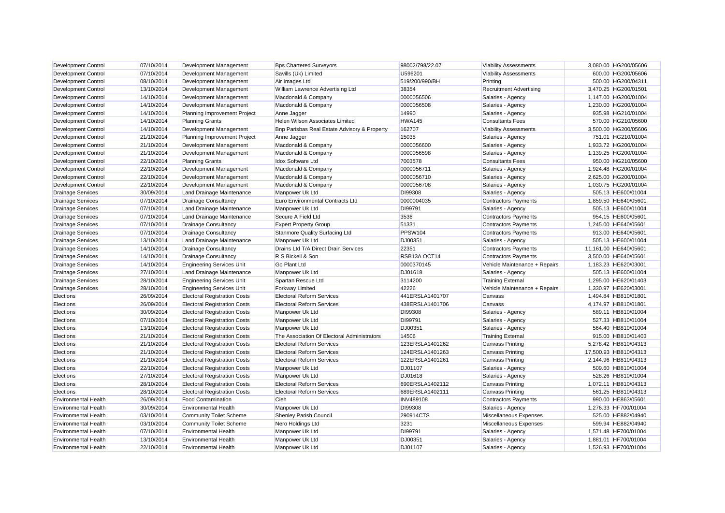| <b>Development Control</b>  | 07/10/2014 | Development Management              | <b>Bps Chartered Surveyors</b>               | 98002/798/22.07  | <b>Viability Assessments</b>   | 3,080.00 HG200/05606  |  |
|-----------------------------|------------|-------------------------------------|----------------------------------------------|------------------|--------------------------------|-----------------------|--|
| <b>Development Control</b>  | 07/10/2014 | Development Management              | Savills (Uk) Limited                         | U596201          | <b>Viability Assessments</b>   | 600.00 HG200/05606    |  |
| <b>Development Control</b>  | 08/10/2014 | Development Management              | Air Images Ltd                               | 519/200/990/BH   | Printing                       | 500.00 HG200/04311    |  |
| Development Control         | 13/10/2014 | Development Management              | William Lawrence Advertising Ltd             | 38354            | <b>Recruitment Advertising</b> | 3,470.25 HG200/01501  |  |
| <b>Development Control</b>  | 14/10/2014 | Development Management              | Macdonald & Company                          | 0000056506       | Salaries - Agency              | 1,147.00 HG200/01004  |  |
| <b>Development Control</b>  | 14/10/2014 | Development Management              | Macdonald & Company                          | 0000056508       | Salaries - Agency              | 1,230.00 HG200/01004  |  |
| <b>Development Control</b>  | 14/10/2014 | Planning Improvement Project        | Anne Jagger                                  | 14990            | Salaries - Agency              | 935.98 HG210/01004    |  |
| <b>Development Control</b>  | 14/10/2014 | <b>Planning Grants</b>              | Helen Wilson Associates Limited              | HWA145           | <b>Consultants Fees</b>        | 570.00 HG210/05600    |  |
| <b>Development Control</b>  | 14/10/2014 | Development Management              | Bnp Parisbas Real Estate Advisory & Property | 162707           | <b>Viability Assessments</b>   | 3,500.00 HG200/05606  |  |
| Development Control         | 21/10/2014 | Planning Improvement Project        | Anne Jagger                                  | 15035            | Salaries - Agency              | 751.01 HG210/01004    |  |
| Development Control         | 21/10/2014 | Development Management              | Macdonald & Company                          | 0000056600       | Salaries - Agency              | 1,933.72 HG200/01004  |  |
| <b>Development Control</b>  | 21/10/2014 | Development Management              | Macdonald & Company                          | 0000056598       | Salaries - Agency              | 1,139.25 HG200/01004  |  |
| <b>Development Control</b>  | 22/10/2014 | <b>Planning Grants</b>              | <b>Idox Software Ltd</b>                     | 7003578          | <b>Consultants Fees</b>        | 950.00 HG210/05600    |  |
| <b>Development Control</b>  | 22/10/2014 | Development Management              | Macdonald & Company                          | 0000056711       | Salaries - Agency              | 1,924.48 HG200/01004  |  |
| <b>Development Control</b>  | 22/10/2014 | Development Management              | Macdonald & Company                          | 0000056710       | Salaries - Agency              | 2,625.00 HG200/01004  |  |
| <b>Development Control</b>  | 22/10/2014 | Development Management              | Macdonald & Company                          | 0000056708       | Salaries - Agency              | 1,030.75 HG200/01004  |  |
| <b>Drainage Services</b>    | 30/09/2014 | Land Drainage Maintenance           | Manpower Uk Ltd                              | DI99308          | Salaries - Agency              | 505.13 HE600/01004    |  |
| <b>Drainage Services</b>    | 07/10/2014 | <b>Drainage Consultancy</b>         | Euro Environmental Contracts Ltd             | 0000004035       | <b>Contractors Payments</b>    | 1,859.50 HE640/05601  |  |
| <b>Drainage Services</b>    | 07/10/2014 | Land Drainage Maintenance           | Manpower Uk Ltd                              | DI99791          | Salaries - Agency              | 505.13 HE600/01004    |  |
| <b>Drainage Services</b>    | 07/10/2014 | Land Drainage Maintenance           | Secure A Field Ltd                           | 3536             | <b>Contractors Payments</b>    | 954.15 HE600/05601    |  |
| <b>Drainage Services</b>    | 07/10/2014 | <b>Drainage Consultancy</b>         | <b>Expert Property Group</b>                 | 51331            | <b>Contractors Payments</b>    | 1.245.00 HE640/05601  |  |
| <b>Drainage Services</b>    | 07/10/2014 | <b>Drainage Consultancy</b>         | <b>Stanmore Quality Surfacing Ltd</b>        | PPSW104          | <b>Contractors Payments</b>    | 913.00 HE640/05601    |  |
| <b>Drainage Services</b>    | 13/10/2014 | Land Drainage Maintenance           | Manpower Uk Ltd                              | DJ00351          | Salaries - Agency              | 505.13 HE600/01004    |  |
| <b>Drainage Services</b>    | 14/10/2014 | <b>Drainage Consultancy</b>         | Drains Ltd T/A Direct Drain Services         | 22351            | <b>Contractors Payments</b>    | 11,161.00 HE640/05601 |  |
| <b>Drainage Services</b>    | 14/10/2014 | <b>Drainage Consultancy</b>         | R S Bickell & Son                            | RSB13A OCT14     | <b>Contractors Payments</b>    | 3,500.00 HE640/05601  |  |
| <b>Drainage Services</b>    | 14/10/2014 | <b>Engineering Services Unit</b>    | <b>Go Plant Ltd</b>                          | 0000370145       | Vehicle Maintenance + Repairs  | 1,183.23 HE620/03001  |  |
| <b>Drainage Services</b>    | 27/10/2014 | Land Drainage Maintenance           | Manpower Uk Ltd                              | DJ01618          | Salaries - Agency              | 505.13 HE600/01004    |  |
| <b>Drainage Services</b>    | 28/10/2014 | <b>Engineering Services Unit</b>    | Spartan Rescue Ltd                           | 3114200          | <b>Training External</b>       | 1.295.00 HE620/01403  |  |
| <b>Drainage Services</b>    | 28/10/2014 | <b>Engineering Services Unit</b>    | <b>Forkway Limited</b>                       | 42226            | Vehicle Maintenance + Repairs  | 1,330.97 HE620/03001  |  |
| Elections                   | 26/09/2014 | <b>Electoral Registration Costs</b> | <b>Electoral Reform Services</b>             | 441ERSLA1401707  | Canvass                        | 1,494.84 HB810/01801  |  |
| Elections                   | 26/09/2014 | <b>Electoral Registration Costs</b> | <b>Electoral Reform Services</b>             | 438ERSLA1401706  | Canvass                        | 4,174.97 HB810/01801  |  |
| Elections                   | 30/09/2014 | <b>Electoral Registration Costs</b> | Manpower Uk Ltd                              | DI99308          | Salaries - Agency              | 589.11 HB810/01004    |  |
| Elections                   | 07/10/2014 | <b>Electoral Registration Costs</b> | Manpower Uk Ltd                              | DI99791          | Salaries - Agency              | 527.33 HB810/01004    |  |
| Elections                   | 13/10/2014 | <b>Electoral Registration Costs</b> | Manpower Uk Ltd                              | DJ00351          | Salaries - Agency              | 564.40 HB810/01004    |  |
| Elections                   | 21/10/2014 | <b>Electoral Registration Costs</b> | The Association Of Electoral Administrators  | 14506            | <b>Training External</b>       | 915.00 HB810/01403    |  |
| Elections                   | 21/10/2014 | <b>Electoral Registration Costs</b> | <b>Electoral Reform Services</b>             | 123ERSLA1401262  | <b>Canvass Printing</b>        | 5,278.42 HB810/04313  |  |
| Elections                   | 21/10/2014 | <b>Electoral Registration Costs</b> | <b>Electoral Reform Services</b>             | 124ERSLA1401263  | <b>Canvass Printing</b>        | 17,500.93 HB810/04313 |  |
| Elections                   | 21/10/2014 | <b>Electoral Registration Costs</b> | <b>Electoral Reform Services</b>             | 122ERSLA1401261  | <b>Canvass Printing</b>        | 2,144.96 HB810/04313  |  |
| Elections                   | 22/10/2014 | <b>Electoral Registration Costs</b> | Manpower Uk Ltd                              | DJ01107          | Salaries - Agency              | 509.60 HB810/01004    |  |
| Elections                   | 27/10/2014 | <b>Electoral Registration Costs</b> | Manpower Uk Ltd                              | DJ01618          | Salaries - Agency              | 528.26 HB810/01004    |  |
| Elections                   | 28/10/2014 | <b>Electoral Registration Costs</b> | <b>Electoral Reform Services</b>             | 690ERSLA1402112  | <b>Canvass Printing</b>        | 1.072.11 HB810/04313  |  |
| Elections                   | 28/10/2014 | <b>Electoral Registration Costs</b> | <b>Electoral Reform Services</b>             | 689ERSLA1402111  | <b>Canvass Printing</b>        | 561.25 HB810/04313    |  |
| <b>Environmental Health</b> | 26/09/2014 | <b>Food Contamination</b>           | Cieh                                         | <b>INV489108</b> | <b>Contractors Payments</b>    | 990.00 HE863/05601    |  |
| <b>Environmental Health</b> | 30/09/2014 | <b>Environmental Health</b>         | Manpower Uk Ltd                              | DI99308          | Salaries - Agency              | 1,276.33 HF700/01004  |  |
| <b>Environmental Health</b> | 03/10/2014 | <b>Community Toilet Scheme</b>      | <b>Shenley Parish Council</b>                | 290914CTS        | Miscellaneous Expenses         | 525.00 HE882/04940    |  |
| <b>Environmental Health</b> | 03/10/2014 | <b>Community Toilet Scheme</b>      | Nero Holdings Ltd                            | 3231             | Miscellaneous Expenses         | 599.94 HE882/04940    |  |
| <b>Environmental Health</b> | 07/10/2014 | <b>Environmental Health</b>         | Manpower Uk Ltd                              | DI99791          | Salaries - Agency              | 1,571.48 HF700/01004  |  |
| <b>Environmental Health</b> | 13/10/2014 | <b>Environmental Health</b>         | Manpower Uk Ltd                              | DJ00351          | Salaries - Agency              | 1.881.01 HF700/01004  |  |
| <b>Environmental Health</b> | 22/10/2014 | <b>Environmental Health</b>         | Manpower Uk Ltd                              | <b>DJ01107</b>   | Salaries - Agency              | 1.526.93 HF700/01004  |  |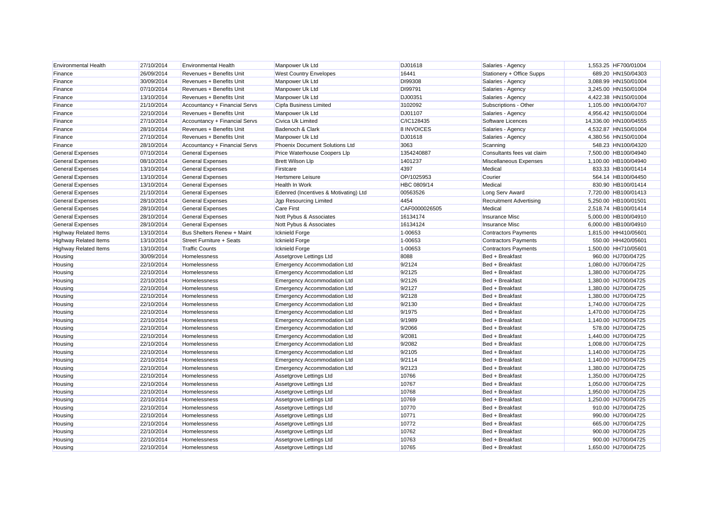| <b>Environmental Health</b>  | 27/10/2014 | <b>Environmental Health</b>   | Manpower Uk Ltd                       | DJ01618       | Salaries - Agency              | 1,553.25 HF700/01004  |
|------------------------------|------------|-------------------------------|---------------------------------------|---------------|--------------------------------|-----------------------|
| Finance                      | 26/09/2014 | Revenues + Benefits Unit      | <b>West Country Envelopes</b>         | 16441         | Stationery + Office Supps      | 689.20 HN150/04303    |
| Finance                      | 30/09/2014 | Revenues + Benefits Unit      | Manpower Uk Ltd                       | DI99308       | Salaries - Agency              | 3,088.99 HN150/01004  |
| Finance                      | 07/10/2014 | Revenues + Benefits Unit      | Manpower Uk Ltd                       | DI99791       | Salaries - Agency              | 3,245.00 HN150/01004  |
| Finance                      | 13/10/2014 | Revenues + Benefits Unit      | Manpower Uk Ltd                       | DJ00351       | Salaries - Agency              | 4,422.38 HN150/01004  |
| Finance                      | 21/10/2014 | Accountancy + Financial Servs | Cipfa Business Limited                | 3102092       | Subscriptions - Other          | 1,105.00 HN100/04707  |
| Finance                      | 22/10/2014 | Revenues + Benefits Unit      | Manpower Uk Ltd                       | DJ01107       | Salaries - Agency              | 4,956.42 HN150/01004  |
| Finance                      | 27/10/2014 | Accountancy + Financial Servs | Civica Uk Limited                     | C/IC128435    | Software Licences              | 14,336.00 HN100/04555 |
| Finance                      | 28/10/2014 | Revenues + Benefits Unit      | Badenoch & Clark                      | 8 INVOICES    | Salaries - Agency              | 4,532.87 HN150/01004  |
| Finance                      | 27/10/2014 | Revenues + Benefits Unit      | Manpower Uk Ltd                       | DJ01618       | Salaries - Agency              | 4,380.56 HN150/01004  |
| Finance                      | 28/10/2014 | Accountancy + Financial Servs | <b>Phoenix Document Solutions Ltd</b> | 3063          | Scanning                       | 548.23 HN100/04320    |
| <b>General Expenses</b>      | 07/10/2014 | <b>General Expenses</b>       | Price Waterhouse Coopers Llp          | 1354240887    | Consultants fees vat claim     | 7,500.00 HB100/04940  |
| <b>General Expenses</b>      | 08/10/2014 | <b>General Expenses</b>       | <b>Brett Wilson Llp</b>               | 1401237       | Miscellaneous Expenses         | 1,100.00 HB100/04940  |
| <b>General Expenses</b>      | 13/10/2014 | <b>General Expenses</b>       | Firstcare                             | 4397          | Medical                        | 833.33 HB100/01414    |
| <b>General Expenses</b>      | 13/10/2014 | <b>General Expenses</b>       | Hertsmere Leisure                     | OP/1025953    | Courier                        | 564.14 HB100/04450    |
| General Expenses             | 13/10/2014 | <b>General Expenses</b>       | Health In Work                        | HBC 0809/14   | Medical                        | 830.90 HB100/01414    |
| <b>General Expenses</b>      | 21/10/2014 | <b>General Expenses</b>       | Edenred (Incentives & Motivating) Ltd | 00563526      | Long Serv Award                | 7,720.00 HB100/01413  |
| <b>General Expenses</b>      | 28/10/2014 | <b>General Expenses</b>       | <b>Jgp Resourcing Limited</b>         | 4454          | <b>Recruitment Advertising</b> | 5.250.00 HB100/01501  |
| <b>General Expenses</b>      | 28/10/2014 | <b>General Expenses</b>       | <b>Care First</b>                     | CAF0000026505 | Medical                        | 2,518.74 HB100/01414  |
| <b>General Expenses</b>      | 28/10/2014 | <b>General Expenses</b>       | Nott Pybus & Associates               | 16134174      | <b>Insurance Misc</b>          | 5,000.00 HB100/04910  |
| <b>General Expenses</b>      | 28/10/2014 | <b>General Expenses</b>       | Nott Pybus & Associates               | 16134124      | <b>Insurance Misc</b>          | 6,000.00 HB100/04910  |
| <b>Highway Related Items</b> | 13/10/2014 | Bus Shelters Renew + Maint    | <b>Icknield Forge</b>                 | 1-00653       | <b>Contractors Payments</b>    | 1,815.00 HH410/05601  |
| <b>Highway Related Items</b> | 13/10/2014 | Street Furniture + Seats      | <b>Icknield Forge</b>                 | 1-00653       | <b>Contractors Payments</b>    | 550.00 HH420/05601    |
| <b>Highway Related Items</b> | 13/10/2014 | <b>Traffic Counts</b>         | <b>Icknield Forge</b>                 | 1-00653       | <b>Contractors Payments</b>    | 1,500.00 HH710/05601  |
| Housing                      | 30/09/2014 | Homelessness                  | Assetgrove Lettings Ltd               | 8088          | Bed + Breakfast                | 960.00 HJ700/04725    |
| Housing                      | 22/10/2014 | Homelessness                  | <b>Emergency Accommodation Ltd</b>    | 9/2124        | Bed + Breakfast                | 1,080.00 HJ700/04725  |
| Housing                      | 22/10/2014 | Homelessness                  | <b>Emergency Accommodation Ltd</b>    | 9/2125        | Bed + Breakfast                | 1,380.00 HJ700/04725  |
| Housing                      | 22/10/2014 | Homelessness                  | <b>Emergency Accommodation Ltd</b>    | 9/2126        | Bed + Breakfast                | 1,380.00 HJ700/04725  |
| Housing                      | 22/10/2014 | Homelessness                  | <b>Emergency Accommodation Ltd</b>    | 9/2127        | Bed + Breakfast                | 1,380.00 HJ700/04725  |
| Housing                      | 22/10/2014 | Homelessness                  | <b>Emergency Accommodation Ltd</b>    | 9/2128        | Bed + Breakfast                | 1,380.00 HJ700/04725  |
| Housing                      | 22/10/2014 | Homelessness                  | <b>Emergency Accommodation Ltd</b>    | 9/2130        | Bed + Breakfast                | 1,740.00 HJ700/04725  |
| Housing                      | 22/10/2014 | Homelessness                  | <b>Emergency Accommodation Ltd</b>    | 9/1975        | Bed + Breakfast                | 1,470.00 HJ700/04725  |
| Housing                      | 22/10/2014 | Homelessness                  | <b>Emergency Accommodation Ltd</b>    | 9/1989        | Bed + Breakfast                | 1,140.00 HJ700/04725  |
| Housing                      | 22/10/2014 | Homelessness                  | <b>Emergency Accommodation Ltd</b>    | 9/2066        | Bed + Breakfast                | 578.00 HJ700/04725    |
| Housing                      | 22/10/2014 | Homelessness                  | <b>Emergency Accommodation Ltd</b>    | 9/2081        | Bed + Breakfast                | 1,440.00 HJ700/04725  |
| Housing                      | 22/10/2014 | Homelessness                  | <b>Emergency Accommodation Ltd</b>    | 9/2082        | Bed + Breakfast                | 1,008.00 HJ700/04725  |
| Housing                      | 22/10/2014 | Homelessness                  | <b>Emergency Accommodation Ltd</b>    | 9/2105        | Bed + Breakfast                | 1,140.00 HJ700/04725  |
| Housing                      | 22/10/2014 | Homelessness                  | <b>Emergency Accommodation Ltd</b>    | 9/2114        | Bed + Breakfast                | 1,140.00 HJ700/04725  |
| Housing                      | 22/10/2014 | Homelessness                  | <b>Emergency Accommodation Ltd</b>    | 9/2123        | Bed + Breakfast                | 1,380.00 HJ700/04725  |
| Housing                      | 22/10/2014 | Homelessness                  | Assetgrove Lettings Ltd               | 10766         | Bed + Breakfast                | 1,350.00 HJ700/04725  |
| Housing                      | 22/10/2014 | Homelessness                  | Assetgrove Lettings Ltd               | 10767         | Bed + Breakfast                | 1,050.00 HJ700/04725  |
| Housing                      | 22/10/2014 | Homelessness                  | Assetgrove Lettings Ltd               | 10768         | Bed + Breakfast                | 1,950.00 HJ700/04725  |
| Housing                      | 22/10/2014 | Homelessness                  | Assetgrove Lettings Ltd               | 10769         | Bed + Breakfast                | 1,250.00 HJ700/04725  |
| Housing                      | 22/10/2014 | Homelessness                  | Assetgrove Lettings Ltd               | 10770         | Bed + Breakfast                | 910.00 HJ700/04725    |
| Housing                      | 22/10/2014 | Homelessness                  | Assetgrove Lettings Ltd               | 10771         | Bed + Breakfast                | 990.00 HJ700/04725    |
| Housing                      | 22/10/2014 | Homelessness                  | Assetgrove Lettings Ltd               | 10772         | Bed + Breakfast                | 665.00 HJ700/04725    |
| Housing                      | 22/10/2014 | Homelessness                  | Assetgrove Lettings Ltd               | 10762         | Bed + Breakfast                | 900.00 HJ700/04725    |
| Housing                      | 22/10/2014 | Homelessness                  | Assetgrove Lettings Ltd               | 10763         | Bed + Breakfast                | 900.00 HJ700/04725    |
| Housing                      | 22/10/2014 | Homelessness                  | Assetgrove Lettings Ltd               | 10765         | Bed + Breakfast                | 1.650.00 HJ700/04725  |
|                              |            |                               |                                       |               |                                |                       |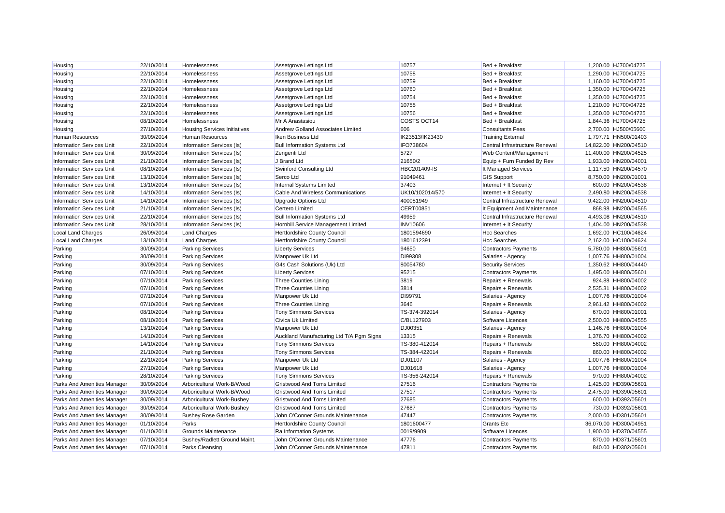| Housing                            | 22/10/2014 | Homelessness                        | Assetgrove Lettings Ltd                  | 10757            | Bed + Breakfast                | 1,200.00 HJ700/04725  |
|------------------------------------|------------|-------------------------------------|------------------------------------------|------------------|--------------------------------|-----------------------|
| Housing                            | 22/10/2014 | Homelessness                        | Assetgrove Lettings Ltd                  | 10758            | Bed + Breakfast                | 1,290.00 HJ700/04725  |
| Housing                            | 22/10/2014 | Homelessness                        | Assetgrove Lettings Ltd                  | 10759            | Bed + Breakfast                | 1,160.00 HJ700/04725  |
| Housing                            | 22/10/2014 | Homelessness                        | Assetgrove Lettings Ltd                  | 10760            | Bed + Breakfast                | 1,350.00 HJ700/04725  |
| Housing                            | 22/10/2014 | Homelessness                        | Assetgrove Lettings Ltd                  | 10754            | Bed + Breakfast                | 1,350.00 HJ700/04725  |
| Housing                            | 22/10/2014 | Homelessness                        | Assetgrove Lettings Ltd                  | 10755            | Bed + Breakfast                | 1,210.00 HJ700/04725  |
| Housing                            | 22/10/2014 | Homelessness                        | Assetgrove Lettings Ltd                  | 10756            | Bed + Breakfast                | 1,350.00 HJ700/04725  |
| Housing                            | 08/10/2014 | Homelessness                        | Mr A Anastasiou                          | COSTS OCT14      | Bed + Breakfast                | 1,844.36 HJ700/04725  |
| Housing                            | 27/10/2014 | <b>Housing Services Initiatives</b> | Andrew Golland Associates Limited        | 606              | <b>Consultants Fees</b>        | 2,700.00 HJ500/05600  |
| <b>Human Resources</b>             | 30/09/2014 | <b>Human Resources</b>              | Iken Business Ltd                        | IK23513/IK23430  | <b>Training External</b>       | 1,797.71 HN500/01403  |
| <b>Information Services Unit</b>   | 22/10/2014 | Information Services (Is)           | <b>Bull Information Systems Ltd</b>      | IFO738604        | Central Infrastructure Renewal | 14,822.00 HN200/04510 |
| <b>Information Services Unit</b>   | 30/09/2014 | Information Services (Is)           | Zengenti Ltd                             | 5727             | Web Content/Management         | 11,400.00 HN200/04525 |
| <b>Information Services Unit</b>   | 21/10/2014 | Information Services (Is)           | J Brand Ltd                              | 21650/2          | Equip + Furn Funded By Rev     | 1,933.00 HN200/04001  |
| <b>Information Services Unit</b>   | 08/10/2014 | Information Services (Is)           | Swinford Consulting Ltd                  | HBC201409-IS     | It Managed Services            | 1.117.50 HN200/04570  |
| <b>Information Services Unit</b>   | 13/10/2014 | Information Services (Is)           | Serco Ltd                                | 91049461         | <b>GIS Support</b>             | 8,750.00 HN200/01001  |
| <b>Information Services Unit</b>   | 13/10/2014 | Information Services (Is)           | Internal Systems Limited                 | 37403            | Internet + It Security         | 600.00 HN200/04538    |
| <b>Information Services Unit</b>   | 14/10/2014 | Information Services (Is)           | Cable And Wireless Communications        | UK10/102014/570  | Internet + It Security         | 2,490.80 HN200/04538  |
| <b>Information Services Unit</b>   | 14/10/2014 | Information Services (Is)           | Upgrade Options Ltd                      | 400081949        | Central Infrastructure Renewal | 9,422.00 HN200/04510  |
| <b>Information Services Unit</b>   | 21/10/2014 | Information Services (Is)           | Certero Limited                          | <b>CERT00851</b> | It Equipment And Maintenance   | 868.98 HN200/04565    |
| <b>Information Services Unit</b>   | 22/10/2014 | Information Services (Is)           | <b>Bull Information Systems Ltd</b>      | 49959            | Central Infrastructure Renewal | 4,493.08 HN200/04510  |
| <b>Information Services Unit</b>   | 28/10/2014 | Information Services (Is)           | Hornbill Service Management Limited      | <b>INV10606</b>  | Internet + It Security         | 1,404.00 HN200/04538  |
| <b>Local Land Charges</b>          | 26/09/2014 | <b>Land Charges</b>                 | Hertfordshire County Council             | 1801594690       | <b>Hcc Searches</b>            | 1,692.00 HC100/04624  |
| Local Land Charges                 | 13/10/2014 | <b>Land Charges</b>                 | Hertfordshire County Council             | 1801612391       | <b>Hcc Searches</b>            | 2,162.00 HC100/04624  |
| Parking                            | 30/09/2014 | <b>Parking Services</b>             | <b>Liberty Services</b>                  | 94650            | <b>Contractors Payments</b>    | 5,780.00 HH800/05601  |
| Parking                            | 30/09/2014 | <b>Parking Services</b>             | Manpower Uk Ltd                          | DI99308          | Salaries - Agency              | 1,007.76 HH800/01004  |
| Parking                            | 30/09/2014 | <b>Parking Services</b>             | G4s Cash Solutions (Uk) Ltd              | 80054780         | <b>Security Services</b>       | 1,350.62 HH800/04440  |
| Parking                            | 07/10/2014 | <b>Parking Services</b>             | <b>Liberty Services</b>                  | 95215            | <b>Contractors Payments</b>    | 1,495.00 HH800/05601  |
| Parking                            | 07/10/2014 | <b>Parking Services</b>             | <b>Three Counties Lining</b>             | 3819             | Repairs + Renewals             | 924.88 HH800/04002    |
| Parking                            | 07/10/2014 | <b>Parking Services</b>             | Three Counties Lining                    | 3814             | Repairs + Renewals             | 2,535.31 HH800/04002  |
| Parking                            | 07/10/2014 | <b>Parking Services</b>             | Manpower Uk Ltd                          | DI99791          | Salaries - Agency              | 1,007.76 HH800/01004  |
| Parking                            | 07/10/2014 | <b>Parking Services</b>             | Three Counties Lining                    | 3646             | Repairs + Renewals             | 2,961.42 HH800/04002  |
| Parking                            | 08/10/2014 | <b>Parking Services</b>             | <b>Tony Simmons Services</b>             | TS-374-392014    | Salaries - Agency              | 670.00 HH800/01001    |
| Parking                            | 08/10/2014 | <b>Parking Services</b>             | Civica Uk Limited                        | C/BL127903       | Software Licences              | 2,500.00 HH800/04555  |
| Parking                            | 13/10/2014 | <b>Parking Services</b>             | Manpower Uk Ltd                          | DJ00351          | Salaries - Agency              | 1,146.76 HH800/01004  |
| Parking                            | 14/10/2014 | <b>Parking Services</b>             | Auckland Manufacturing Ltd T/A Pgm Signs | 13315            | Repairs + Renewals             | 1,376.70 HH800/04002  |
| Parking                            | 14/10/2014 | <b>Parking Services</b>             | <b>Tony Simmons Services</b>             | TS-380-412014    | Repairs + Renewals             | 560.00 HH800/04002    |
| Parking                            | 21/10/2014 | <b>Parking Services</b>             | <b>Tony Simmons Services</b>             | TS-384-422014    | Repairs + Renewals             | 860.00 HH800/04002    |
| Parking                            | 22/10/2014 | <b>Parking Services</b>             | Manpower Uk Ltd                          | <b>DJ01107</b>   | Salaries - Agency              | 1,007.76 HH800/01004  |
| Parking                            | 27/10/2014 | <b>Parking Services</b>             | Manpower Uk Ltd                          | DJ01618          | Salaries - Agency              | 1,007.76 HH800/01004  |
| Parking                            | 28/10/2014 | <b>Parking Services</b>             | <b>Tony Simmons Services</b>             | TS-356-242014    | Repairs + Renewals             | 970.00 HH800/04002    |
| Parks And Amenities Manager        | 30/09/2014 | Arboricultural Work-B/Wood          | <b>Gristwood And Toms Limited</b>        | 27516            | <b>Contractors Payments</b>    | 1,425.00 HD390/05601  |
| Parks And Amenities Manager        | 30/09/2014 | Arboricultural Work-B/Wood          | <b>Gristwood And Toms Limited</b>        | 27517            | <b>Contractors Payments</b>    | 2,475.00 HD390/05601  |
| <b>Parks And Amenities Manager</b> | 30/09/2014 | Arboricultural Work-Bushey          | Gristwood And Toms Limited               | 27685            | <b>Contractors Payments</b>    | 600.00 HD392/05601    |
| Parks And Amenities Manager        | 30/09/2014 | Arboricultural Work-Bushey          | <b>Gristwood And Toms Limited</b>        | 27687            | <b>Contractors Payments</b>    | 730.00 HD392/05601    |
| Parks And Amenities Manager        | 30/09/2014 | <b>Bushey Rose Garden</b>           | John O'Conner Grounds Maintenance        | 47447            | <b>Contractors Payments</b>    | 2,000.00 HD301/05601  |
| Parks And Amenities Manager        | 01/10/2014 | Parks                               | Hertfordshire County Council             | 1801600477       | <b>Grants Etc</b>              | 36,070.00 HD300/04951 |
| Parks And Amenities Manager        | 01/10/2014 | Grounds Maintenance                 | Ra Information Systems                   | 0019/9909        | Software Licences              | 1,900.00 HD370/04555  |
| Parks And Amenities Manager        | 07/10/2014 | Bushey/Radlett Ground Maint.        | John O'Conner Grounds Maintenance        | 47776            | <b>Contractors Payments</b>    | 870.00 HD371/05601    |
| Parks And Amenities Manager        | 07/10/2014 | <b>Parks Cleansing</b>              | John O'Conner Grounds Maintenance        | 47811            | <b>Contractors Payments</b>    | 840.00 HD302/05601    |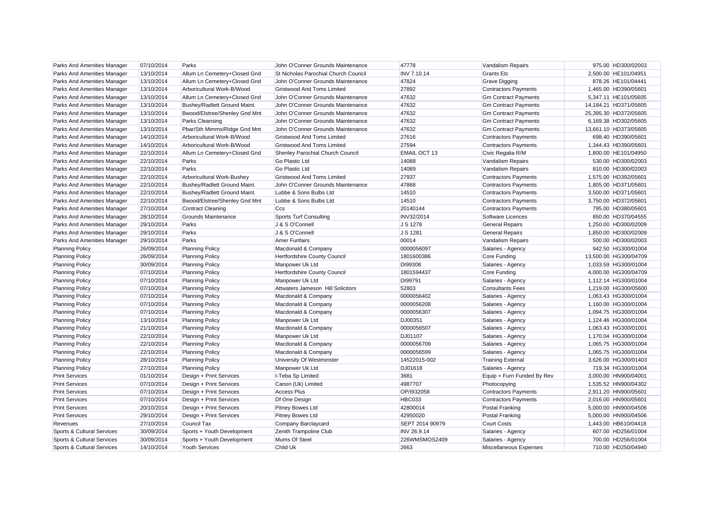| Parks And Amenities Manager | 07/10/2014 | Parks                         | John O'Conner Grounds Maintenance    | 47778               | Vandalism Repairs           | 975.00 HD300/02003    |
|-----------------------------|------------|-------------------------------|--------------------------------------|---------------------|-----------------------------|-----------------------|
| Parks And Amenities Manager | 13/10/2014 | Allum Ln Cemetery+Closed Gnd  | St Nicholas Parochial Church Council | <b>INV 7.10.14</b>  | <b>Grants Etc</b>           | 2,500.00 HE101/04951  |
| Parks And Amenities Manager | 13/10/2014 | Allum Ln Cemetery+Closed Gnd  | John O'Conner Grounds Maintenance    | 47824               | Grave Digging               | 878.26 HE101/04441    |
| Parks And Amenities Manager | 13/10/2014 | Arboricultural Work-B/Wood    | <b>Gristwood And Toms Limited</b>    | 27892               | <b>Contractors Payments</b> | 1,465.00 HD390/05601  |
| Parks And Amenities Manager | 13/10/2014 | Allum Ln Cemetery+Closed Gnd  | John O'Conner Grounds Maintenance    | 47632               | <b>Gm Contract Payments</b> | 5,347.11 HE101/05605  |
| Parks And Amenities Manager | 13/10/2014 | Bushey/Radlett Ground Maint.  | John O'Conner Grounds Maintenance    | 47632               | <b>Gm Contract Payments</b> | 14,184.21 HD371/05605 |
| Parks And Amenities Manager | 13/10/2014 | Bwood/Elstree/Shenley Gnd Mnt | John O'Conner Grounds Maintenance    | 47632               | <b>Gm Contract Payments</b> | 25.395.30 HD372/05605 |
| Parks And Amenities Manager | 13/10/2014 | <b>Parks Cleansing</b>        | John O'Conner Grounds Maintenance    | 47632               | <b>Gm Contract Payments</b> | 6,169.38 HD302/05605  |
| Parks And Amenities Manager | 13/10/2014 | Pbar/Sth Mimms/Ridge Gnd Mnt  | John O'Conner Grounds Maintenance    | 47632               | <b>Gm Contract Payments</b> | 13,661.10 HD373/05605 |
| Parks And Amenities Manager | 14/10/2014 | Arboricultural Work-B/Wood    | <b>Gristwood And Toms Limited</b>    | 27616               | <b>Contractors Payments</b> | 698.40 HD390/05601    |
| Parks And Amenities Manager | 14/10/2014 | Arboricultural Work-B/Wood    | <b>Gristwood And Toms Limited</b>    | 27594               | <b>Contractors Payments</b> | 1,344.43 HD390/05601  |
| Parks And Amenities Manager | 22/10/2014 | Allum Ln Cemetery+Closed Gnd  | Shenley Parochial Church Council     | <b>EMAIL OCT 13</b> | Civic Regalia R/M           | 1,800.00 HE101/04950  |
| Parks And Amenities Manager | 22/10/2014 | Parks                         | <b>Go Plastic Ltd</b>                | 14088               | Vandalism Repairs           | 530.00 HD300/02003    |
| Parks And Amenities Manager | 22/10/2014 | Parks                         | Go Plastic Ltd                       | 14089               | Vandalism Repairs           | 810.00 HD300/02003    |
| Parks And Amenities Manager | 22/10/2014 | Arboricultural Work-Bushey    | <b>Gristwood And Toms Limited</b>    | 27937               | <b>Contractors Payments</b> | 1,575.00 HD392/05601  |
| Parks And Amenities Manager | 22/10/2014 | Bushey/Radlett Ground Maint.  | John O'Conner Grounds Maintenance    | 47868               | <b>Contractors Payments</b> | 1,805.00 HD371/05601  |
| Parks And Amenities Manager | 22/10/2014 | Bushey/Radlett Ground Maint.  | Lubbe & Sons Bulbs Ltd               | 14510               | <b>Contractors Payments</b> | 3,500.00 HD371/05601  |
| Parks And Amenities Manager | 22/10/2014 | Bwood/Elstree/Shenley Gnd Mnt | Lubbe & Sons Bulbs Ltd               | 14510               | <b>Contractors Payments</b> | 3,750.00 HD372/05601  |
| Parks And Amenities Manager | 27/10/2014 | <b>Contract Cleaning</b>      | Ccs                                  | 20140144            | <b>Contractors Payments</b> | 795.00 HD380/05601    |
| Parks And Amenities Manager | 28/10/2014 | Grounds Maintenance           | Sports Turf Consulting               | INV32/2014          | Software Licences           | 850.00 HD370/04555    |
| Parks And Amenities Manager | 29/10/2014 | Parks                         | J & S O'Connell                      | J S 1278            | <b>General Repairs</b>      | 1,250.00 HD300/02009  |
| Parks And Amenities Manager | 29/10/2014 | Parks                         | J & S O'Connell                      | J S 1281            | <b>General Repairs</b>      | 1,850.00 HD300/02009  |
| Parks And Amenities Manager | 29/10/2014 | Parks                         | <b>Amer Funfairs</b>                 | 00014               | Vandalism Repairs           | 500.00 HD300/02003    |
| <b>Planning Policy</b>      | 26/09/2014 | <b>Planning Policy</b>        | Macdonald & Company                  | 0000056097          | Salaries - Agency           | 942.50 HG300/01004    |
| <b>Planning Policy</b>      | 26/09/2014 | <b>Planning Policy</b>        | Hertfordshire County Council         | 1801600386          | Core Funding                | 13,500.00 HG300/04709 |
| <b>Planning Policy</b>      | 30/09/2014 | <b>Planning Policy</b>        | Manpower Uk Ltd                      | DI99308             | Salaries - Agency           | 1,033.59 HG300/01004  |
| <b>Planning Policy</b>      | 07/10/2014 | <b>Planning Policy</b>        | Hertfordshire County Council         | 1801594437          | Core Funding                | 4,000.00 HG300/04709  |
| <b>Planning Policy</b>      | 07/10/2014 | <b>Planning Policy</b>        | Manpower Uk Ltd                      | DI99791             | Salaries - Agency           | 1.112.14 HG300/01004  |
| <b>Planning Policy</b>      | 07/10/2014 | <b>Planning Policy</b>        | Attwaters Jameson Hill Solicitors    | 52803               | <b>Consultants Fees</b>     | 1,219.00 HG300/05600  |
| <b>Planning Policy</b>      | 07/10/2014 | <b>Planning Policy</b>        | Macdonald & Company                  | 0000056402          | Salaries - Agency           | 1,063.43 HG300/01004  |
| <b>Planning Policy</b>      | 07/10/2014 | <b>Planning Policy</b>        | Macdonald & Company                  | 0000056208          | Salaries - Agency           | 1,160.00 HG300/01004  |
| <b>Planning Policy</b>      | 07/10/2014 | <b>Planning Policy</b>        | Macdonald & Company                  | 0000056307          | Salaries - Agency           | 1,094.75 HG300/01004  |
| <b>Planning Policy</b>      | 13/10/2014 | <b>Planning Policy</b>        | Manpower Uk Ltd                      | DJ00351             | Salaries - Agency           | 1,124.46 HG300/01004  |
| <b>Planning Policy</b>      | 21/10/2014 | <b>Planning Policy</b>        | Macdonald & Company                  | 0000056507          | Salaries - Agency           | 1,063.43 HG300/01001  |
| <b>Planning Policy</b>      | 22/10/2014 | <b>Planning Policy</b>        | Manpower Uk Ltd                      | DJ01107             | Salaries - Agency           | 1,170.04 HG300/01004  |
| <b>Planning Policy</b>      | 22/10/2014 | <b>Planning Policy</b>        | Macdonald & Company                  | 0000056709          | Salaries - Agency           | 1,065.75 HG300/01004  |
| <b>Planning Policy</b>      | 22/10/2014 | <b>Planning Policy</b>        | Macdonald & Company                  | 0000056599          | Salaries - Agency           | 1,065.75 HG300/01004  |
| <b>Planning Policy</b>      | 28/10/2014 | <b>Planning Policy</b>        | University Of Westminster            | 14522015-002        | <b>Training External</b>    | 3,626.00 HG300/01403  |
| <b>Planning Policy</b>      | 27/10/2014 | <b>Planning Policy</b>        | Manpower Uk Ltd                      | DJ01618             | Salaries - Agency           | 719.34 HG300/01004    |
| <b>Print Services</b>       | 01/10/2014 | Design + Print Services       | I-Teba Sp Limited                    | 3681                | Equip + Furn Funded By Rev  | 3,000.00 HN900/04001  |
| <b>Print Services</b>       | 07/10/2014 | Design + Print Services       | Canon (Uk) Limited                   | 4987707             | Photocopying                | 1,535.52 HN900/04302  |
| <b>Print Services</b>       | 07/10/2014 | Design + Print Services       | <b>Access Plus</b>                   | OP/1932058          | <b>Contractors Payments</b> | 2.911.20 HN900/05601  |
| <b>Print Services</b>       | 07/10/2014 | Design + Print Services       | Df One Design                        | <b>HBC033</b>       | <b>Contractors Payments</b> | 2,016.00 HN900/05601  |
| <b>Print Services</b>       | 20/10/2014 | Design + Print Services       | Pitney Bowes Ltd                     | 42800014            | <b>Postal Franking</b>      | 5,000.00 HN900/04506  |
| <b>Print Services</b>       | 29/10/2014 | Design + Print Services       | <b>Pitney Bowes Ltd</b>              | 42950020            | Postal Franking             | 5.000.00 HN900/04506  |
| Revenues                    | 27/10/2014 | Council Tax                   | Company Barclaycard                  | SEPT 2014 90979     | <b>Court Costs</b>          | 1,443.00 HB610/04418  |
| Sports & Cultural Services  | 30/09/2014 | Sports + Youth Development    | Zenith Trampoline Club               | INV 26.9.14         | Salaries - Agency           | 607.00 HD256/01004    |
| Sports & Cultural Services  | 30/09/2014 | Sports + Youth Development    | Mums Of Steel                        | 226WMSMOS2409       | Salaries - Agency           | 700.00 HD256/01004    |
| Sports & Cultural Services  | 14/10/2014 | <b>Youth Services</b>         | <b>Child Uk</b>                      | 2663                | Miscellaneous Expenses      | 710.00 HD250/04940    |